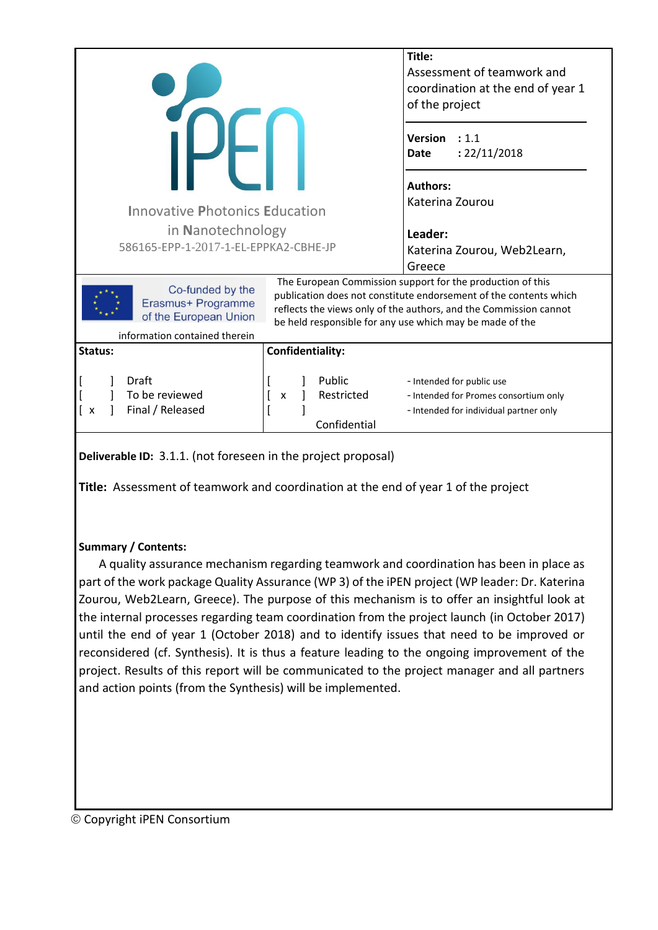| Assessment of teamwork and<br>coordination at the end of year 1<br>of the project<br>Version : $1.1$<br>: 22/11/2018<br>Date<br><b>Authors:</b><br>Katerina Zourou<br><b>Innovative Photonics Education</b><br>in Nanotechnology<br>Leader:<br>586165-EPP-1-2017-1-EL-EPPKA2-CBHE-JP<br>Katerina Zourou, Web2Learn,<br>Greece<br>The European Commission support for the production of this<br>Co-funded by the<br>publication does not constitute endorsement of the contents which<br>Erasmus+ Programme<br>reflects the views only of the authors, and the Commission cannot<br>of the European Union<br>be held responsible for any use which may be made of the<br>information contained therein<br>Confidentiality:<br><b>Status:</b> |       |        | Title:                    |  |  |
|---------------------------------------------------------------------------------------------------------------------------------------------------------------------------------------------------------------------------------------------------------------------------------------------------------------------------------------------------------------------------------------------------------------------------------------------------------------------------------------------------------------------------------------------------------------------------------------------------------------------------------------------------------------------------------------------------------------------------------------------|-------|--------|---------------------------|--|--|
|                                                                                                                                                                                                                                                                                                                                                                                                                                                                                                                                                                                                                                                                                                                                             |       |        |                           |  |  |
|                                                                                                                                                                                                                                                                                                                                                                                                                                                                                                                                                                                                                                                                                                                                             |       |        |                           |  |  |
|                                                                                                                                                                                                                                                                                                                                                                                                                                                                                                                                                                                                                                                                                                                                             |       |        |                           |  |  |
|                                                                                                                                                                                                                                                                                                                                                                                                                                                                                                                                                                                                                                                                                                                                             |       |        |                           |  |  |
|                                                                                                                                                                                                                                                                                                                                                                                                                                                                                                                                                                                                                                                                                                                                             |       |        |                           |  |  |
|                                                                                                                                                                                                                                                                                                                                                                                                                                                                                                                                                                                                                                                                                                                                             |       |        |                           |  |  |
|                                                                                                                                                                                                                                                                                                                                                                                                                                                                                                                                                                                                                                                                                                                                             |       |        |                           |  |  |
|                                                                                                                                                                                                                                                                                                                                                                                                                                                                                                                                                                                                                                                                                                                                             |       |        |                           |  |  |
|                                                                                                                                                                                                                                                                                                                                                                                                                                                                                                                                                                                                                                                                                                                                             |       |        |                           |  |  |
|                                                                                                                                                                                                                                                                                                                                                                                                                                                                                                                                                                                                                                                                                                                                             |       |        |                           |  |  |
|                                                                                                                                                                                                                                                                                                                                                                                                                                                                                                                                                                                                                                                                                                                                             |       |        |                           |  |  |
|                                                                                                                                                                                                                                                                                                                                                                                                                                                                                                                                                                                                                                                                                                                                             |       |        |                           |  |  |
|                                                                                                                                                                                                                                                                                                                                                                                                                                                                                                                                                                                                                                                                                                                                             |       |        |                           |  |  |
|                                                                                                                                                                                                                                                                                                                                                                                                                                                                                                                                                                                                                                                                                                                                             |       |        |                           |  |  |
|                                                                                                                                                                                                                                                                                                                                                                                                                                                                                                                                                                                                                                                                                                                                             |       |        |                           |  |  |
|                                                                                                                                                                                                                                                                                                                                                                                                                                                                                                                                                                                                                                                                                                                                             |       |        |                           |  |  |
|                                                                                                                                                                                                                                                                                                                                                                                                                                                                                                                                                                                                                                                                                                                                             |       |        |                           |  |  |
|                                                                                                                                                                                                                                                                                                                                                                                                                                                                                                                                                                                                                                                                                                                                             | Draft | Public | - Intended for public use |  |  |
| To be reviewed<br>Restricted<br>X<br>- Intended for Promes consortium only                                                                                                                                                                                                                                                                                                                                                                                                                                                                                                                                                                                                                                                                  |       |        |                           |  |  |
| Final / Released<br>- Intended for individual partner only<br>X                                                                                                                                                                                                                                                                                                                                                                                                                                                                                                                                                                                                                                                                             |       |        |                           |  |  |
| Confidential                                                                                                                                                                                                                                                                                                                                                                                                                                                                                                                                                                                                                                                                                                                                |       |        |                           |  |  |

**Deliverable ID:** 3.1.1. (not foreseen in the project proposal)

**Title:** Assessment of teamwork and coordination at the end of year 1 of the project

## **Summary / Contents:**

A quality assurance mechanism regarding teamwork and coordination has been in place as part of the work package Quality Assurance (WP 3) of the iPEN project (WP leader: Dr. Katerina Zourou, Web2Learn, Greece). The purpose of this mechanism is to offer an insightful look at the internal processes regarding team coordination from the project launch (in October 2017) until the end of year 1 (October 2018) and to identify issues that need to be improved or reconsidered (cf. Synthesis). It is thus a feature leading to the ongoing improvement of the project. Results of this report will be communicated to the project manager and all partners and action points (from the Synthesis) will be implemented.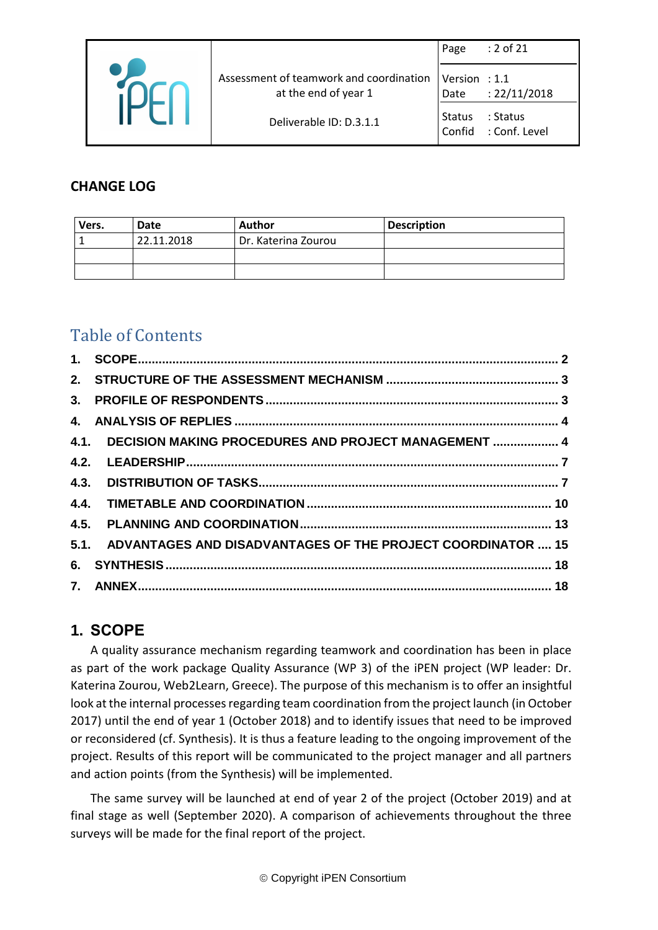|                                                                 | Page                    | : 2 of 21                 |
|-----------------------------------------------------------------|-------------------------|---------------------------|
| Assessment of teamwork and coordination<br>at the end of year 1 | Version : $1.1$<br>Date | : 22/11/2018              |
| Deliverable ID: D.3.1.1                                         | Status<br>Confid        | : Status<br>: Conf. Level |

## **CHANGE LOG**

| Vers. | Date       | <b>Author</b>       | <b>Description</b> |
|-------|------------|---------------------|--------------------|
|       | 22.11.2018 | Dr. Katerina Zourou |                    |
|       |            |                     |                    |
|       |            |                     |                    |

# Table of Contents

| 4.1. DECISION MAKING PROCEDURES AND PROJECT MANAGEMENT  4        |  |
|------------------------------------------------------------------|--|
|                                                                  |  |
|                                                                  |  |
|                                                                  |  |
|                                                                  |  |
| 5.1. ADVANTAGES AND DISADVANTAGES OF THE PROJECT COORDINATOR  15 |  |
|                                                                  |  |
|                                                                  |  |

## <span id="page-1-0"></span>**1. SCOPE**

A quality assurance mechanism regarding teamwork and coordination has been in place as part of the work package Quality Assurance (WP 3) of the iPEN project (WP leader: Dr. Katerina Zourou, Web2Learn, Greece). The purpose of this mechanism is to offer an insightful look at the internal processes regarding team coordination from the project launch (in October 2017) until the end of year 1 (October 2018) and to identify issues that need to be improved or reconsidered (cf. Synthesis). It is thus a feature leading to the ongoing improvement of the project. Results of this report will be communicated to the project manager and all partners and action points (from the Synthesis) will be implemented.

The same survey will be launched at end of year 2 of the project (October 2019) and at final stage as well (September 2020). A comparison of achievements throughout the three surveys will be made for the final report of the project.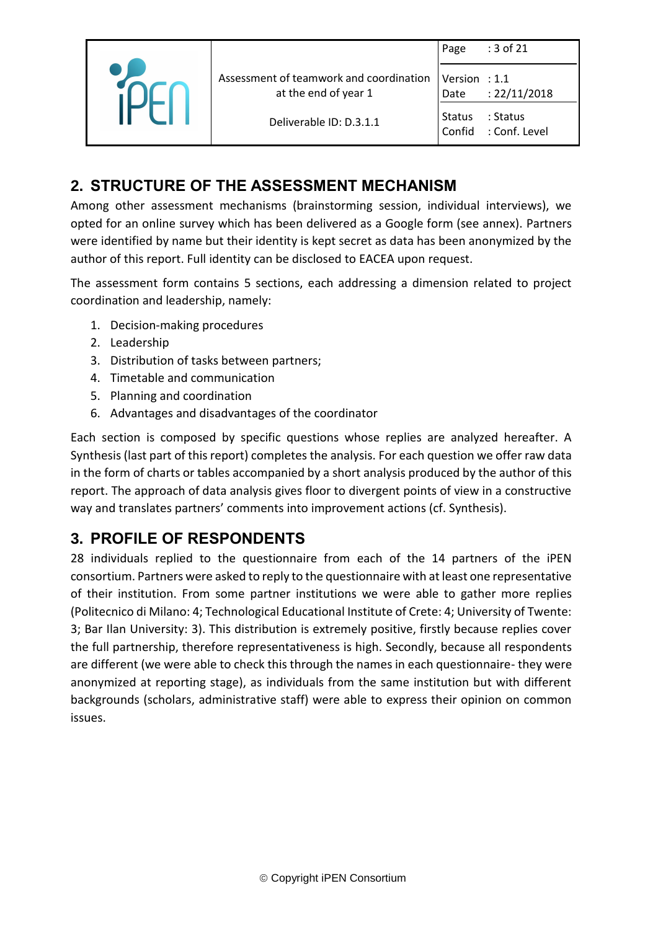|                                                                 | Page                    | : 3 of 21                 |
|-----------------------------------------------------------------|-------------------------|---------------------------|
| Assessment of teamwork and coordination<br>at the end of year 1 | Version : $1.1$<br>Date | : 22/11/2018              |
| Deliverable ID: D.3.1.1                                         | <b>Status</b><br>Confid | : Status<br>: Conf. Level |

# <span id="page-2-0"></span>**2. STRUCTURE OF THE ASSESSMENT MECHANISM**

Among other assessment mechanisms (brainstorming session, individual interviews), we opted for an online survey which has been delivered as a Google form (see annex). Partners were identified by name but their identity is kept secret as data has been anonymized by the author of this report. Full identity can be disclosed to EACEA upon request.

The assessment form contains 5 sections, each addressing a dimension related to project coordination and leadership, namely:

- 1. Decision-making procedures
- 2. Leadership
- 3. Distribution of tasks between partners;
- 4. Timetable and communication
- 5. Planning and coordination
- 6. Advantages and disadvantages of the coordinator

Each section is composed by specific questions whose replies are analyzed hereafter. A Synthesis (last part of this report) completes the analysis. For each question we offer raw data in the form of charts or tables accompanied by a short analysis produced by the author of this report. The approach of data analysis gives floor to divergent points of view in a constructive way and translates partners' comments into improvement actions (cf. Synthesis).

## <span id="page-2-1"></span>**3. PROFILE OF RESPONDENTS**

28 individuals replied to the questionnaire from each of the 14 partners of the iPEN consortium. Partners were asked to reply to the questionnaire with at least one representative of their institution. From some partner institutions we were able to gather more replies (Politecnico di Milano: 4; Technological Educational Institute of Crete: 4; University of Twente: 3; Bar Ilan University: 3). This distribution is extremely positive, firstly because replies cover the full partnership, therefore representativeness is high. Secondly, because all respondents are different (we were able to check this through the names in each questionnaire- they were anonymized at reporting stage), as individuals from the same institution but with different backgrounds (scholars, administrative staff) were able to express their opinion on common issues.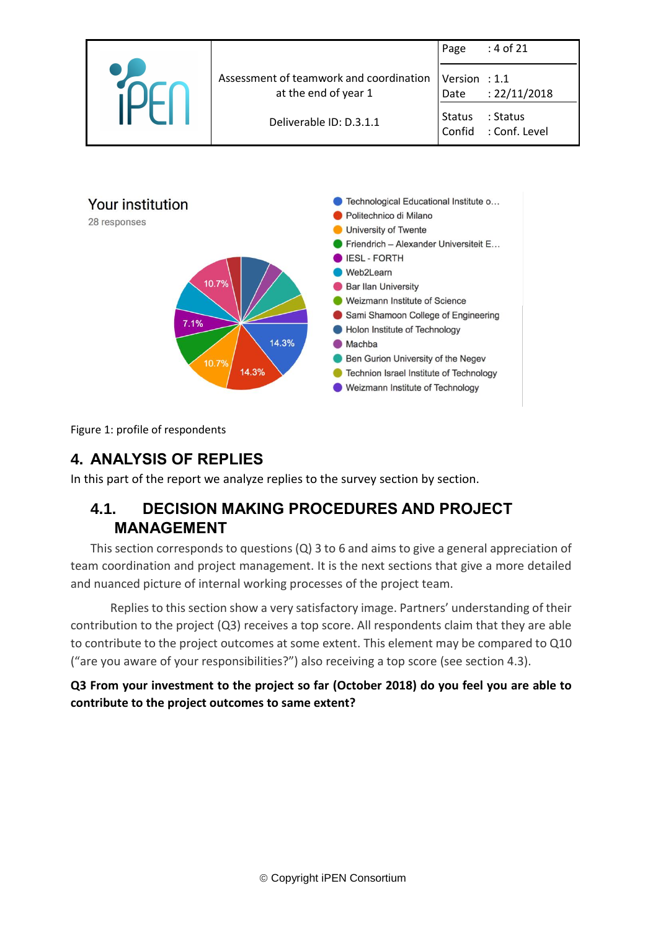|                                                                 | Page                    | : 4 of 21                 |
|-----------------------------------------------------------------|-------------------------|---------------------------|
| Assessment of teamwork and coordination<br>at the end of year 1 | Version : $1.1$<br>Date | : 22/11/2018              |
| Deliverable ID: D.3.1.1                                         | <b>Status</b><br>Confid | : Status<br>: Conf. Level |
|                                                                 |                         |                           |



Figure 1: profile of respondents

# <span id="page-3-0"></span>**4. ANALYSIS OF REPLIES**

In this part of the report we analyze replies to the survey section by section.

# <span id="page-3-1"></span>**4.1. DECISION MAKING PROCEDURES AND PROJECT MANAGEMENT**

This section corresponds to questions (Q) 3 to 6 and aims to give a general appreciation of team coordination and project management. It is the next sections that give a more detailed and nuanced picture of internal working processes of the project team.

Replies to this section show a very satisfactory image. Partners' understanding of their contribution to the project (Q3) receives a top score. All respondents claim that they are able to contribute to the project outcomes at some extent. This element may be compared to Q10 ("are you aware of your responsibilities?") also receiving a top score (see section 4.3).

## **Q3 From your investment to the project so far (October 2018) do you feel you are able to contribute to the project outcomes to same extent?**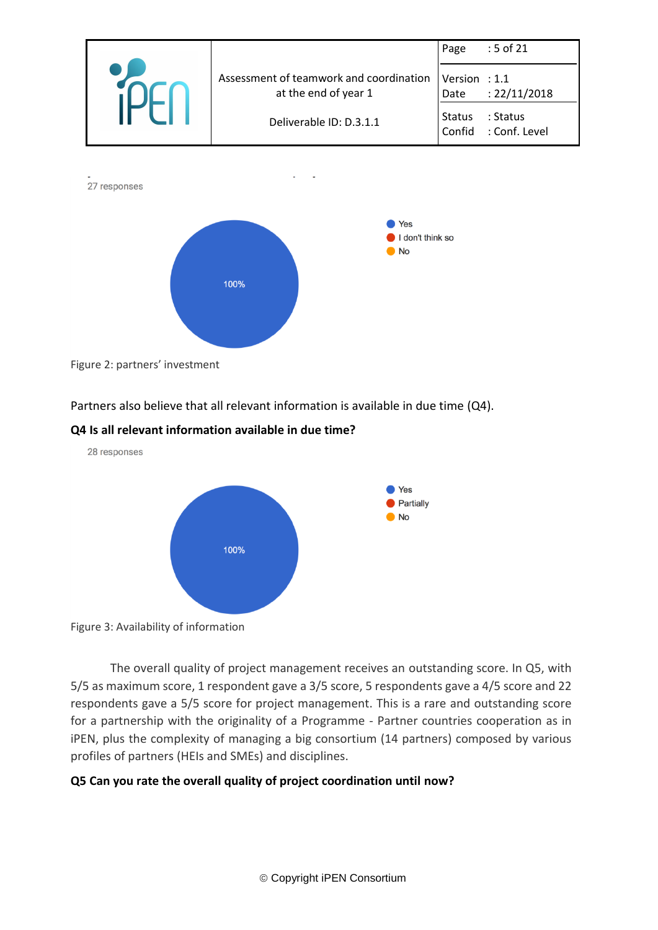

Figure 2: partners' investment

Partners also believe that all relevant information is available in due time (Q4).

### **Q4 Is all relevant information available in due time?**



The overall quality of project management receives an outstanding score. In Q5, with 5/5 as maximum score, 1 respondent gave a 3/5 score, 5 respondents gave a 4/5 score and 22 respondents gave a 5/5 score for project management. This is a rare and outstanding score for a partnership with the originality of a Programme - Partner countries cooperation as in iPEN, plus the complexity of managing a big consortium (14 partners) composed by various profiles of partners (HEIs and SMEs) and disciplines.

### **Q5 Can you rate the overall quality of project coordination until now?**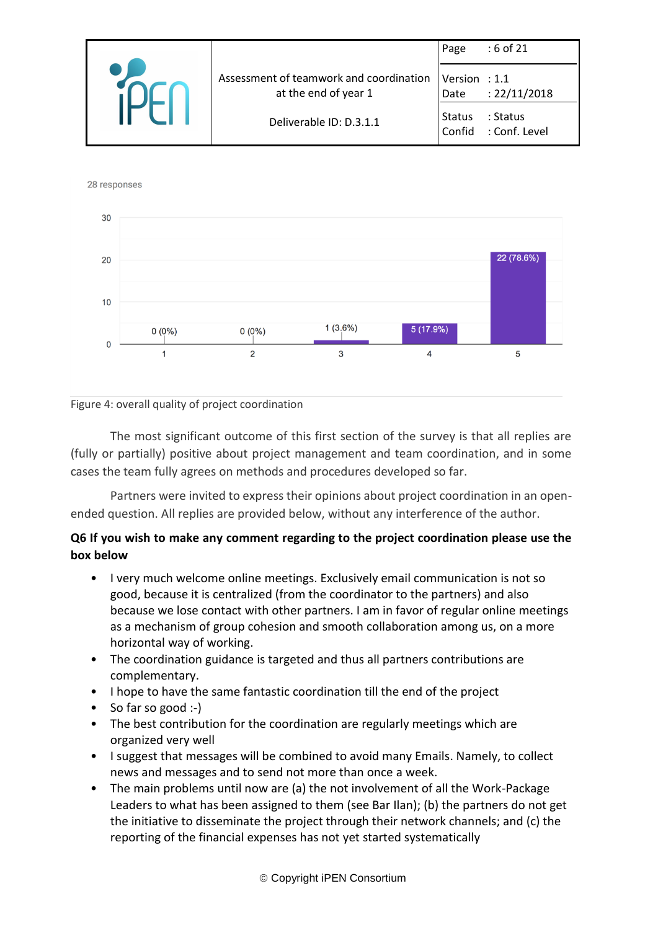|                                                                 | Page                    | $:6$ of 21                |
|-----------------------------------------------------------------|-------------------------|---------------------------|
| Assessment of teamwork and coordination<br>at the end of year 1 | Version : $1.1$<br>Date | : 22/11/2018              |
| Deliverable ID: D.3.1.1                                         | <b>Status</b><br>Confid | : Status<br>: Conf. Level |





The most significant outcome of this first section of the survey is that all replies are (fully or partially) positive about project management and team coordination, and in some cases the team fully agrees on methods and procedures developed so far.

Partners were invited to express their opinions about project coordination in an openended question. All replies are provided below, without any interference of the author.

## **Q6 If you wish to make any comment regarding to the project coordination please use the box below**

- I very much welcome online meetings. Exclusively email communication is not so good, because it is centralized (from the coordinator to the partners) and also because we lose contact with other partners. I am in favor of regular online meetings as a mechanism of group cohesion and smooth collaboration among us, on a more horizontal way of working.
- The coordination guidance is targeted and thus all partners contributions are complementary.
- I hope to have the same fantastic coordination till the end of the project
- So far so good :-)
- The best contribution for the coordination are regularly meetings which are organized very well
- I suggest that messages will be combined to avoid many Emails. Namely, to collect news and messages and to send not more than once a week.
- The main problems until now are (a) the not involvement of all the Work-Package Leaders to what has been assigned to them (see Bar Ilan); (b) the partners do not get the initiative to disseminate the project through their network channels; and (c) the reporting of the financial expenses has not yet started systematically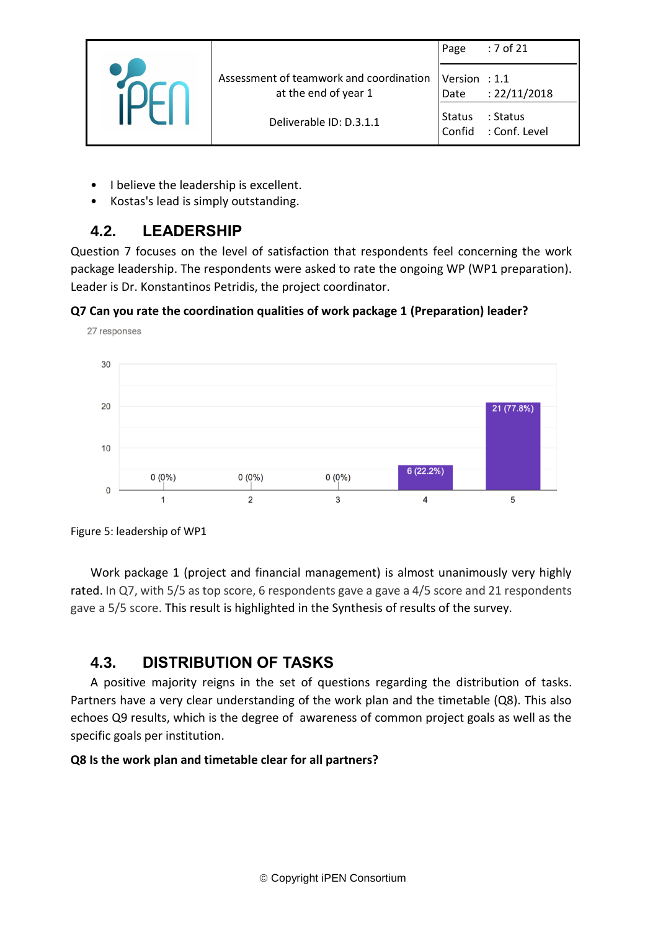|                                                                 | Page                    | : 7 of 21                 |
|-----------------------------------------------------------------|-------------------------|---------------------------|
| Assessment of teamwork and coordination<br>at the end of year 1 | Version : $1.1$<br>Date | : 22/11/2018              |
| Deliverable ID: D.3.1.1                                         | <b>Status</b><br>Confid | : Status<br>: Conf. Level |

- I believe the leadership is excellent.
- Kostas's lead is simply outstanding.

## <span id="page-6-0"></span>**4.2. LEADERSHIP**

Question 7 focuses on the level of satisfaction that respondents feel concerning the work package leadership. The respondents were asked to rate the ongoing WP (WP1 preparation). Leader is Dr. Konstantinos Petridis, the project coordinator.

## **Q7 Can you rate the coordination qualities of work package 1 (Preparation) leader?**



Figure 5: leadership of WP1

Work package 1 (project and financial management) is almost unanimously very highly rated. In Q7, with 5/5 as top score, 6 respondents gave a gave a 4/5 score and 21 respondents gave a 5/5 score. This result is highlighted in the Synthesis of results of the survey.

## <span id="page-6-1"></span>**4.3. DISTRIBUTION OF TASKS**

A positive majority reigns in the set of questions regarding the distribution of tasks. Partners have a very clear understanding of the work plan and the timetable (Q8). This also echoes Q9 results, which is the degree of awareness of common project goals as well as the specific goals per institution.

### **Q8 Is the work plan and timetable clear for all partners?**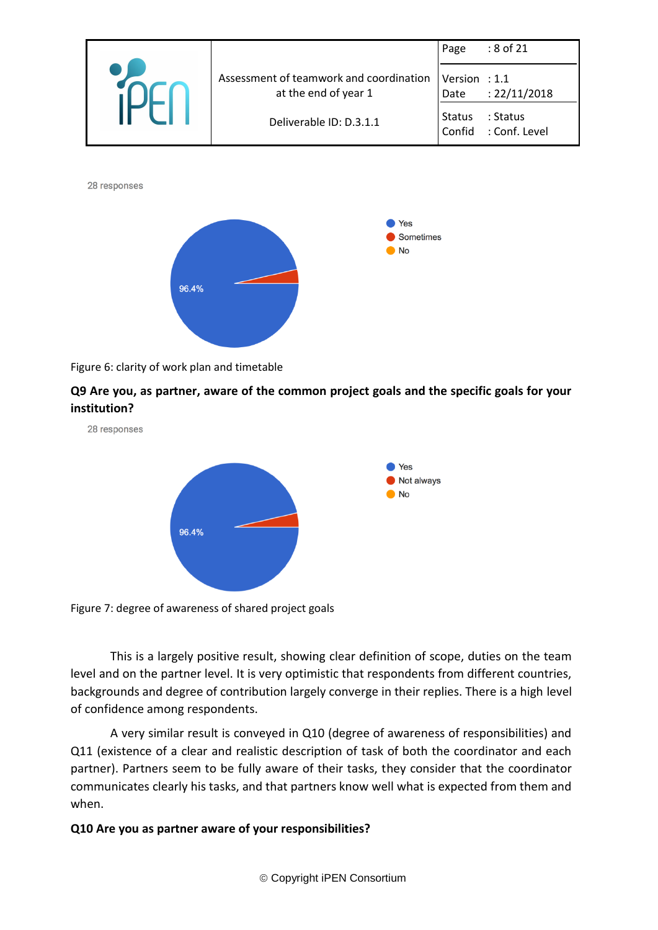

28 responses



Figure 6: clarity of work plan and timetable

## **Q9 Are you, as partner, aware of the common project goals and the specific goals for your institution?**

28 responses



Figure 7: degree of awareness of shared project goals

This is a largely positive result, showing clear definition of scope, duties on the team level and on the partner level. It is very optimistic that respondents from different countries, backgrounds and degree of contribution largely converge in their replies. There is a high level of confidence among respondents.

A very similar result is conveyed in Q10 (degree of awareness of responsibilities) and Q11 (existence of a clear and realistic description of task of both the coordinator and each partner). Partners seem to be fully aware of their tasks, they consider that the coordinator communicates clearly his tasks, and that partners know well what is expected from them and when.

### **Q10 Are you as partner aware of your responsibilities?**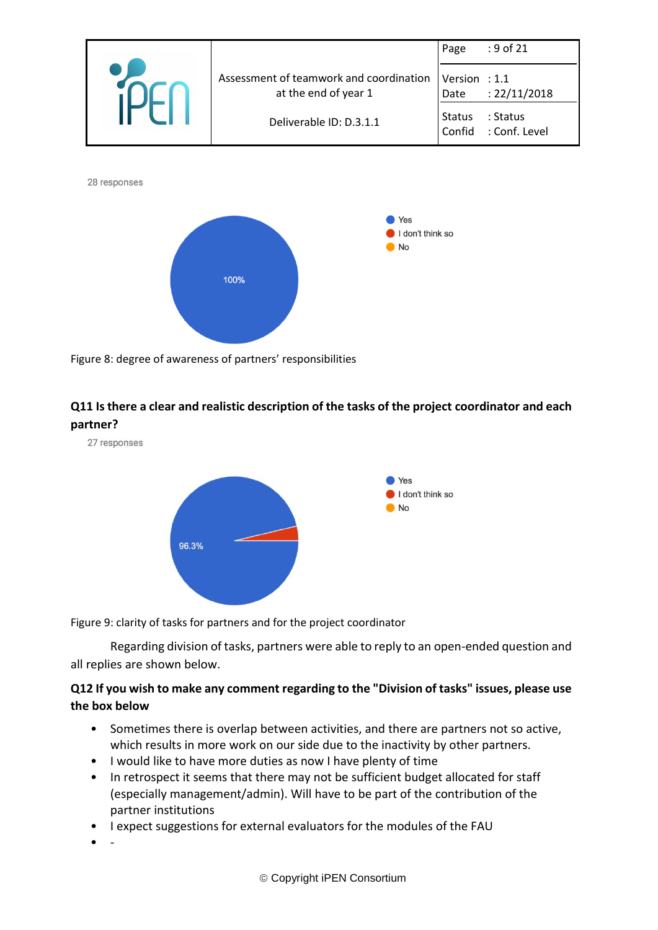

Figure 8: degree of awareness of partners' responsibilities

## **Q11 Is there a clear and realistic description of the tasks of the project coordinator and each partner?**



Figure 9: clarity of tasks for partners and for the project coordinator

Regarding division of tasks, partners were able to reply to an open-ended question and all replies are shown below.

## **Q12 If you wish to make any comment regarding to the "Division of tasks" issues, please use the box below**

- Sometimes there is overlap between activities, and there are partners not so active, which results in more work on our side due to the inactivity by other partners.
- I would like to have more duties as now I have plenty of time
- In retrospect it seems that there may not be sufficient budget allocated for staff (especially management/admin). Will have to be part of the contribution of the partner institutions
- I expect suggestions for external evaluators for the modules of the FAU
- -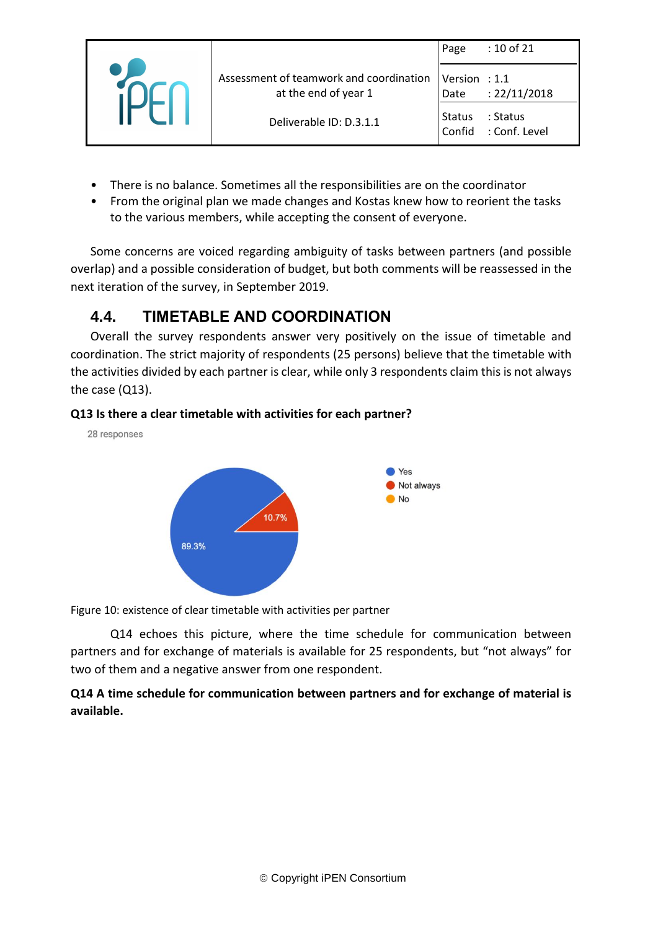|  |                                                                 | Page                    | : 10 of 21                |
|--|-----------------------------------------------------------------|-------------------------|---------------------------|
|  | Assessment of teamwork and coordination<br>at the end of year 1 | Version : $1.1$<br>Date | : 22/11/2018              |
|  | Deliverable ID: D.3.1.1                                         | <b>Status</b><br>Confid | : Status<br>: Conf. Level |

- There is no balance. Sometimes all the responsibilities are on the coordinator
- From the original plan we made changes and Kostas knew how to reorient the tasks to the various members, while accepting the consent of everyone.

Some concerns are voiced regarding ambiguity of tasks between partners (and possible overlap) and a possible consideration of budget, but both comments will be reassessed in the next iteration of the survey, in September 2019.

# <span id="page-9-0"></span>**4.4. TIMETABLE AND COORDINATION**

Overall the survey respondents answer very positively on the issue of timetable and coordination. The strict majority of respondents (25 persons) believe that the timetable with the activities divided by each partner is clear, while only 3 respondents claim this is not always the case (Q13).

## **Q13 Is there a clear timetable with activities for each partner?**



Figure 10: existence of clear timetable with activities per partner

Q14 echoes this picture, where the time schedule for communication between partners and for exchange of materials is available for 25 respondents, but "not always" for two of them and a negative answer from one respondent.

**Q14 A time schedule for communication between partners and for exchange of material is available.**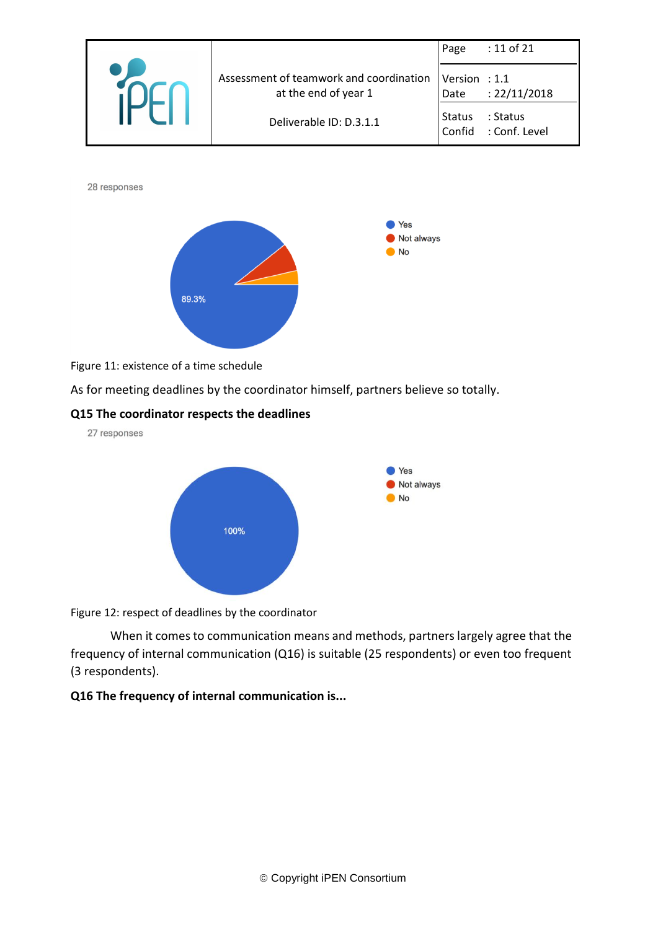





#### Figure 11: existence of a time schedule

As for meeting deadlines by the coordinator himself, partners believe so totally.

### **Q15 The coordinator respects the deadlines**

27 responses



Figure 12: respect of deadlines by the coordinator

When it comes to communication means and methods, partners largely agree that the frequency of internal communication (Q16) is suitable (25 respondents) or even too frequent (3 respondents).

## **Q16 The frequency of internal communication is...**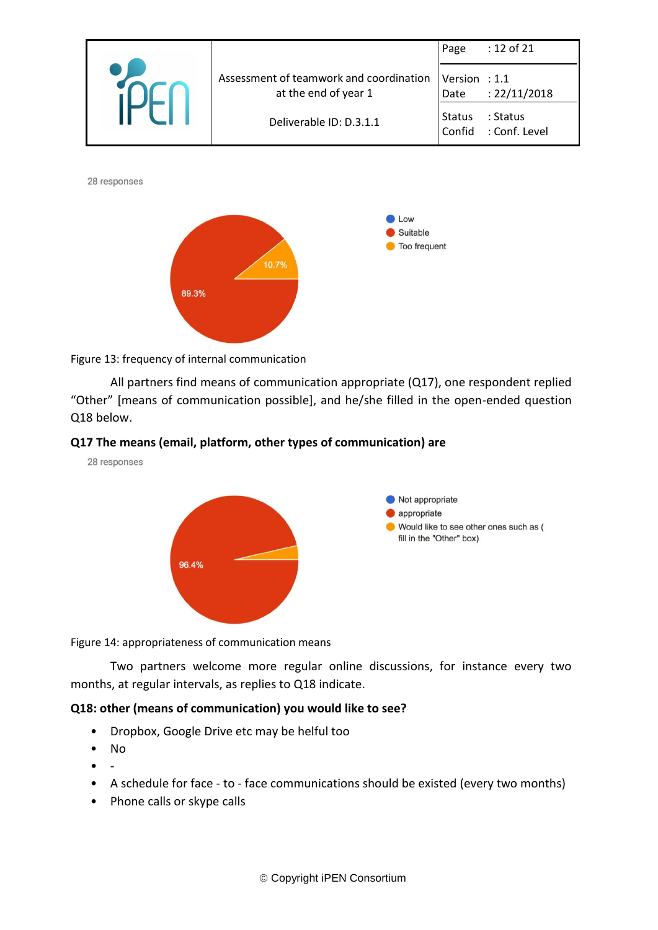



Figure 13: frequency of internal communication

All partners find means of communication appropriate (Q17), one respondent replied "Other" [means of communication possible], and he/she filled in the open-ended question Q18 below.

### **Q17 The means (email, platform, other types of communication) are**

28 responses



Figure 14: appropriateness of communication means

Two partners welcome more regular online discussions, for instance every two months, at regular intervals, as replies to Q18 indicate.

#### **Q18: other (means of communication) you would like to see?**

- Dropbox, Google Drive etc may be helful too
- No
- -
- A schedule for face to face communications should be existed (every two months)
- Phone calls or skype calls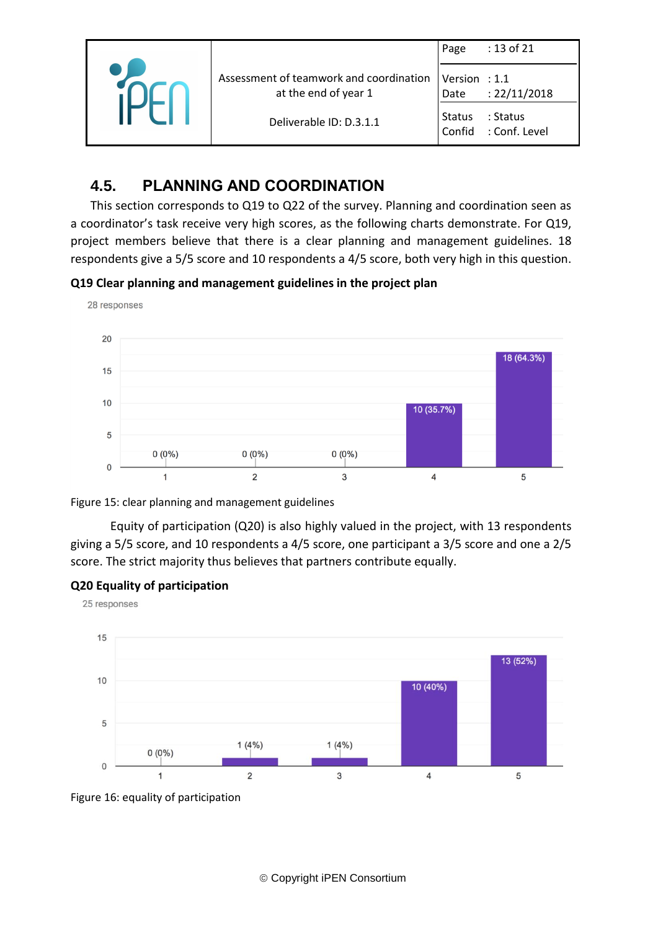|                                                                 | Page                    | : 13 of 21                |
|-----------------------------------------------------------------|-------------------------|---------------------------|
| Assessment of teamwork and coordination<br>at the end of year 1 | Version : $1.1$<br>Date | : 22/11/2018              |
| Deliverable ID: D.3.1.1                                         | <b>Status</b><br>Confid | : Status<br>: Conf. Level |

## **4.5. PLANNING AND COORDINATION**

<span id="page-12-0"></span>This section corresponds to Q19 to Q22 of the survey. Planning and coordination seen as a coordinator's task receive very high scores, as the following charts demonstrate. For Q19, project members believe that there is a clear planning and management guidelines. 18 respondents give a 5/5 score and 10 respondents a 4/5 score, both very high in this question.

**Q19 Clear planning and management guidelines in the project plan**



Figure 15: clear planning and management guidelines

Equity of participation (Q20) is also highly valued in the project, with 13 respondents giving a 5/5 score, and 10 respondents a 4/5 score, one participant a 3/5 score and one a 2/5 score. The strict majority thus believes that partners contribute equally.

## **Q20 Equality of participation**



Figure 16: equality of participation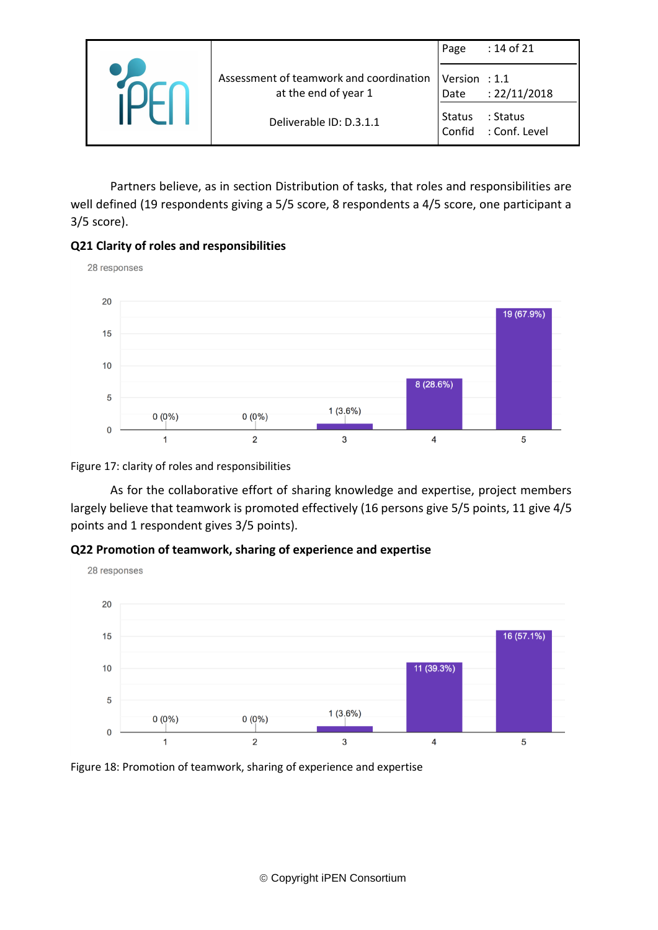|                                                                 | Page                    | : 14 of 21                |
|-----------------------------------------------------------------|-------------------------|---------------------------|
| Assessment of teamwork and coordination<br>at the end of year 1 | Version : $1.1$<br>Date | : 22/11/2018              |
| Deliverable ID: D.3.1.1                                         | <b>Status</b><br>Confid | : Status<br>: Conf. Level |

Partners believe, as in section Distribution of tasks, that roles and responsibilities are well defined (19 respondents giving a 5/5 score, 8 respondents a 4/5 score, one participant a 3/5 score).





Figure 17: clarity of roles and responsibilities

As for the collaborative effort of sharing knowledge and expertise, project members largely believe that teamwork is promoted effectively (16 persons give 5/5 points, 11 give 4/5 points and 1 respondent gives 3/5 points).

## **Q22 Promotion of teamwork, sharing of experience and expertise**



Figure 18: Promotion of teamwork, sharing of experience and expertise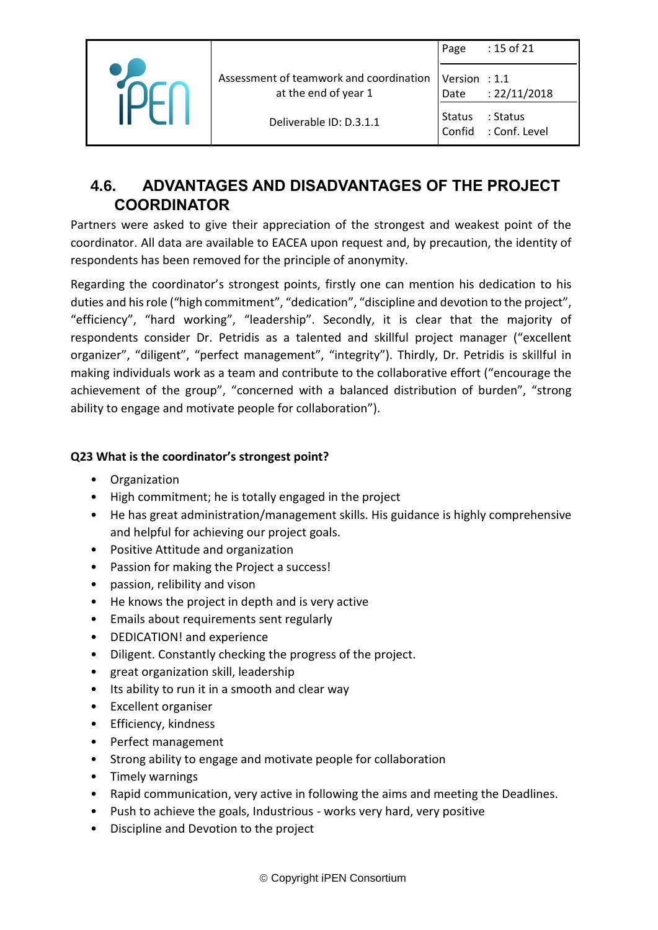|  |                                                                 | Page                    | : 15 of 21                |
|--|-----------------------------------------------------------------|-------------------------|---------------------------|
|  | Assessment of teamwork and coordination<br>at the end of year 1 | Version : $1.1$<br>Date | : 22/11/2018              |
|  | Deliverable ID: D.3.1.1                                         | <b>Status</b><br>Confid | : Status<br>: Conf. Level |

# <span id="page-14-0"></span>**4.6. ADVANTAGES AND DISADVANTAGES OF THE PROJECT COORDINATOR**

Partners were asked to give their appreciation of the strongest and weakest point of the coordinator. All data are available to EACEA upon request and, by precaution, the identity of respondents has been removed for the principle of anonymity.

Regarding the coordinator's strongest points, firstly one can mention his dedication to his duties and his role ("high commitment", "dedication", "discipline and devotion to the project", "efficiency", "hard working", "leadership". Secondly, it is clear that the majority of respondents consider Dr. Petridis as a talented and skillful project manager ("excellent organizer", "diligent", "perfect management", "integrity"). Thirdly, Dr. Petridis is skillful in making individuals work as a team and contribute to the collaborative effort ("encourage the achievement of the group", "concerned with a balanced distribution of burden", "strong ability to engage and motivate people for collaboration").

### **Q23 What is the coordinator's strongest point?**

- Organization
- High commitment; he is totally engaged in the project
- He has great administration/management skills. His guidance is highly comprehensive and helpful for achieving our project goals.
- Positive Attitude and organization
- Passion for making the Project a success!
- passion, relibility and vison
- He knows the project in depth and is very active
- Emails about requirements sent regularly
- DEDICATION! and experience
- Diligent. Constantly checking the progress of the project.
- great organization skill, leadership
- Its ability to run it in a smooth and clear way
- Excellent organiser
- Efficiency, kindness
- Perfect management
- Strong ability to engage and motivate people for collaboration
- Timely warnings
- Rapid communication, very active in following the aims and meeting the Deadlines.
- Push to achieve the goals, Industrious works very hard, very positive
- Discipline and Devotion to the project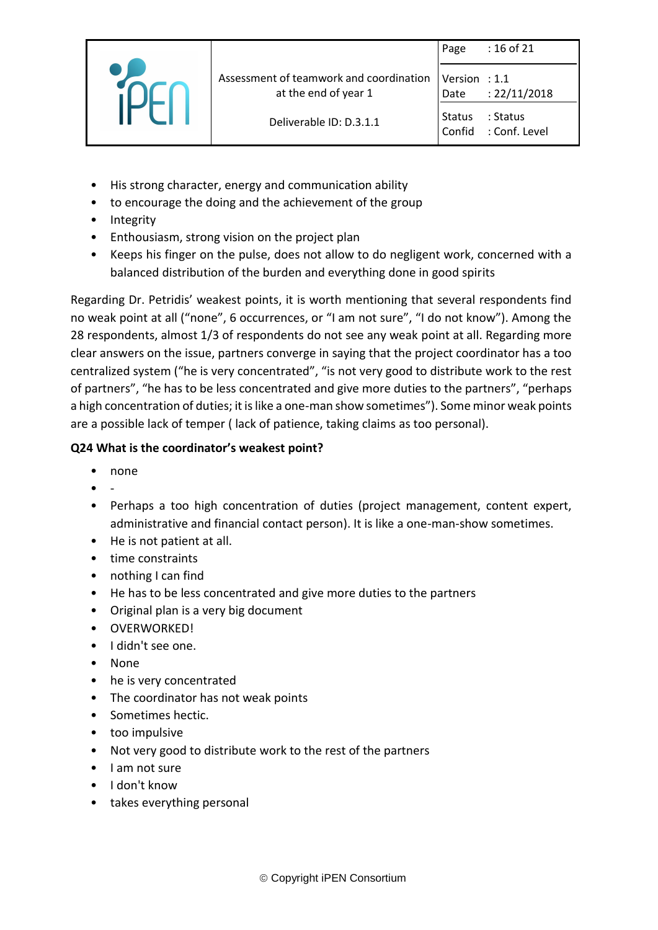|                                                                 | Page                    | : 16 of 21                |
|-----------------------------------------------------------------|-------------------------|---------------------------|
| Assessment of teamwork and coordination<br>at the end of year 1 | Version : $1.1$<br>Date | : 22/11/2018              |
| Deliverable ID: D.3.1.1                                         | <b>Status</b><br>Confid | : Status<br>: Conf. Level |

- His strong character, energy and communication ability
- to encourage the doing and the achievement of the group
- Integrity
- Enthousiasm, strong vision on the project plan
- Keeps his finger on the pulse, does not allow to do negligent work, concerned with a balanced distribution of the burden and everything done in good spirits

Regarding Dr. Petridis' weakest points, it is worth mentioning that several respondents find no weak point at all ("none", 6 occurrences, or "I am not sure", "I do not know"). Among the 28 respondents, almost 1/3 of respondents do not see any weak point at all. Regarding more clear answers on the issue, partners converge in saying that the project coordinator has a too centralized system ("he is very concentrated", "is not very good to distribute work to the rest of partners", "he has to be less concentrated and give more duties to the partners", "perhaps a high concentration of duties; it is like a one-man show sometimes"). Some minor weak points are a possible lack of temper ( lack of patience, taking claims as too personal).

### **Q24 What is the coordinator's weakest point?**

- none
- -
- Perhaps a too high concentration of duties (project management, content expert, administrative and financial contact person). It is like a one-man-show sometimes.
- He is not patient at all.
- time constraints
- nothing I can find
- He has to be less concentrated and give more duties to the partners
- Original plan is a very big document
- OVERWORKED!
- I didn't see one.
- None
- he is very concentrated
- The coordinator has not weak points
- Sometimes hectic.
- too impulsive
- Not very good to distribute work to the rest of the partners
- I am not sure
- I don't know
- takes everything personal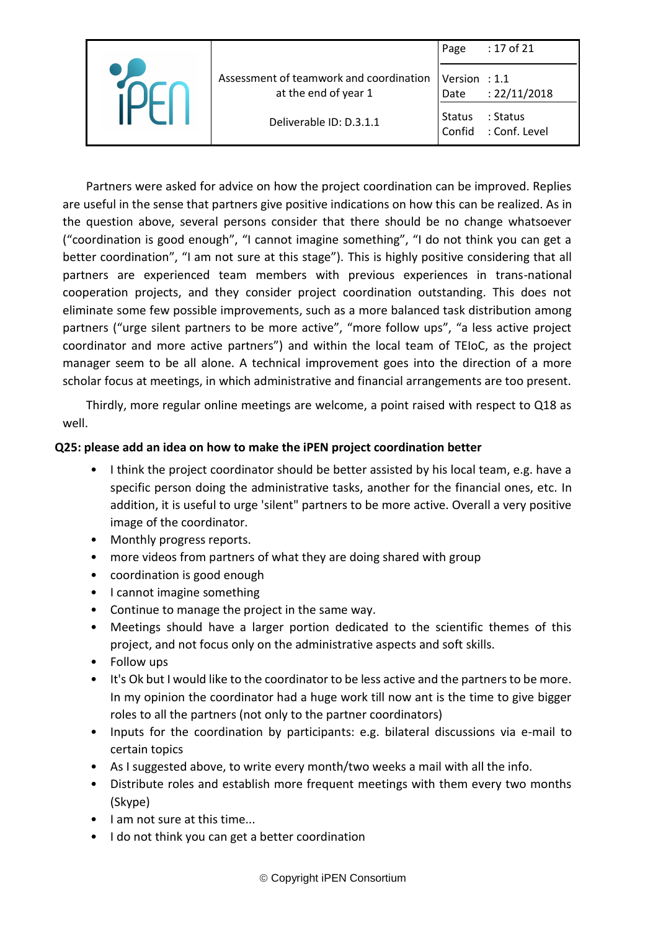|  |                                                                 | Page                    | : 17 of 21                |
|--|-----------------------------------------------------------------|-------------------------|---------------------------|
|  | Assessment of teamwork and coordination<br>at the end of year 1 | Version : $1.1$<br>Date | : 22/11/2018              |
|  | Deliverable ID: D.3.1.1                                         | <b>Status</b><br>Confid | : Status<br>: Conf. Level |

Partners were asked for advice on how the project coordination can be improved. Replies are useful in the sense that partners give positive indications on how this can be realized. As in the question above, several persons consider that there should be no change whatsoever ("coordination is good enough", "I cannot imagine something", "I do not think you can get a better coordination", "I am not sure at this stage"). This is highly positive considering that all partners are experienced team members with previous experiences in trans-national cooperation projects, and they consider project coordination outstanding. This does not eliminate some few possible improvements, such as a more balanced task distribution among partners ("urge silent partners to be more active", "more follow ups", "a less active project coordinator and more active partners") and within the local team of TEIoC, as the project manager seem to be all alone. A technical improvement goes into the direction of a more scholar focus at meetings, in which administrative and financial arrangements are too present.

Thirdly, more regular online meetings are welcome, a point raised with respect to Q18 as well.

### **Q25: please add an idea on how to make the iPEN project coordination better**

- I think the project coordinator should be better assisted by his local team, e.g. have a specific person doing the administrative tasks, another for the financial ones, etc. In addition, it is useful to urge 'silent" partners to be more active. Overall a very positive image of the coordinator.
- Monthly progress reports.
- more videos from partners of what they are doing shared with group
- coordination is good enough
- I cannot imagine something
- Continue to manage the project in the same way.
- Meetings should have a larger portion dedicated to the scientific themes of this project, and not focus only on the administrative aspects and soft skills.
- Follow ups
- It's Ok but I would like to the coordinator to be less active and the partners to be more. In my opinion the coordinator had a huge work till now ant is the time to give bigger roles to all the partners (not only to the partner coordinators)
- Inputs for the coordination by participants: e.g. bilateral discussions via e-mail to certain topics
- As I suggested above, to write every month/two weeks a mail with all the info.
- Distribute roles and establish more frequent meetings with them every two months (Skype)
- I am not sure at this time...
- I do not think you can get a better coordination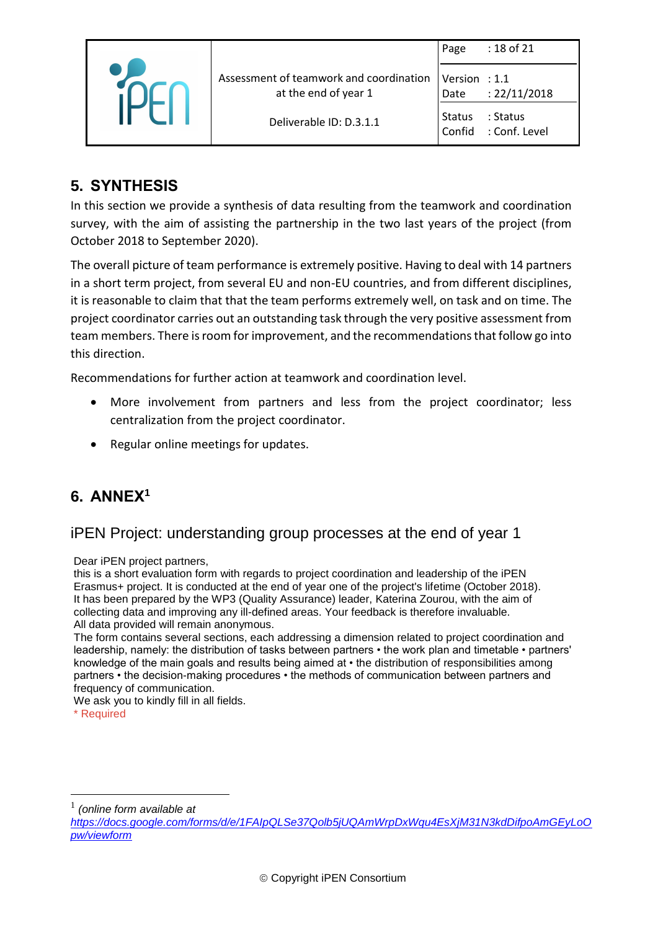|                                                                 | Page                    | : 18 of 21                |
|-----------------------------------------------------------------|-------------------------|---------------------------|
| Assessment of teamwork and coordination<br>at the end of year 1 | Version : $1.1$<br>Date | : 22/11/2018              |
| Deliverable ID: D.3.1.1                                         | <b>Status</b><br>Confid | : Status<br>: Conf. Level |

# <span id="page-17-0"></span>**5. SYNTHESIS**

In this section we provide a synthesis of data resulting from the teamwork and coordination survey, with the aim of assisting the partnership in the two last years of the project (from October 2018 to September 2020).

The overall picture of team performance is extremely positive. Having to deal with 14 partners in a short term project, from several EU and non-EU countries, and from different disciplines, it is reasonable to claim that that the team performs extremely well, on task and on time. The project coordinator carries out an outstanding task through the very positive assessment from team members. There is room for improvement, and the recommendations that follow go into this direction.

Recommendations for further action at teamwork and coordination level.

- More involvement from partners and less from the project coordinator; less centralization from the project coordinator.
- Regular online meetings for updates.

## <span id="page-17-1"></span>**6. ANNEX<sup>1</sup>**

## iPEN Project: understanding group processes at the end of year 1

Dear iPEN project partners,

this is a short evaluation form with regards to project coordination and leadership of the iPEN Erasmus+ project. It is conducted at the end of year one of the project's lifetime (October 2018). It has been prepared by the WP3 (Quality Assurance) leader, Katerina Zourou, with the aim of collecting data and improving any ill-defined areas. Your feedback is therefore invaluable. All data provided will remain anonymous.

The form contains several sections, each addressing a dimension related to project coordination and leadership, namely: the distribution of tasks between partners • the work plan and timetable • partners' knowledge of the main goals and results being aimed at • the distribution of responsibilities among partners • the decision-making procedures • the methods of communication between partners and frequency of communication.

We ask you to kindly fill in all fields.

\* Required

 $\overline{a}$ 

<sup>1</sup> *(online form available at* 

*[https://docs.google.com/forms/d/e/1FAIpQLSe37Qolb5jUQAmWrpDxWqu4EsXjM31N3kdDifpoAmGEyLoO](https://docs.google.com/forms/d/e/1FAIpQLSe37Qolb5jUQAmWrpDxWqu4EsXjM31N3kdDifpoAmGEyLoOpw/viewform) [pw/viewform](https://docs.google.com/forms/d/e/1FAIpQLSe37Qolb5jUQAmWrpDxWqu4EsXjM31N3kdDifpoAmGEyLoOpw/viewform)*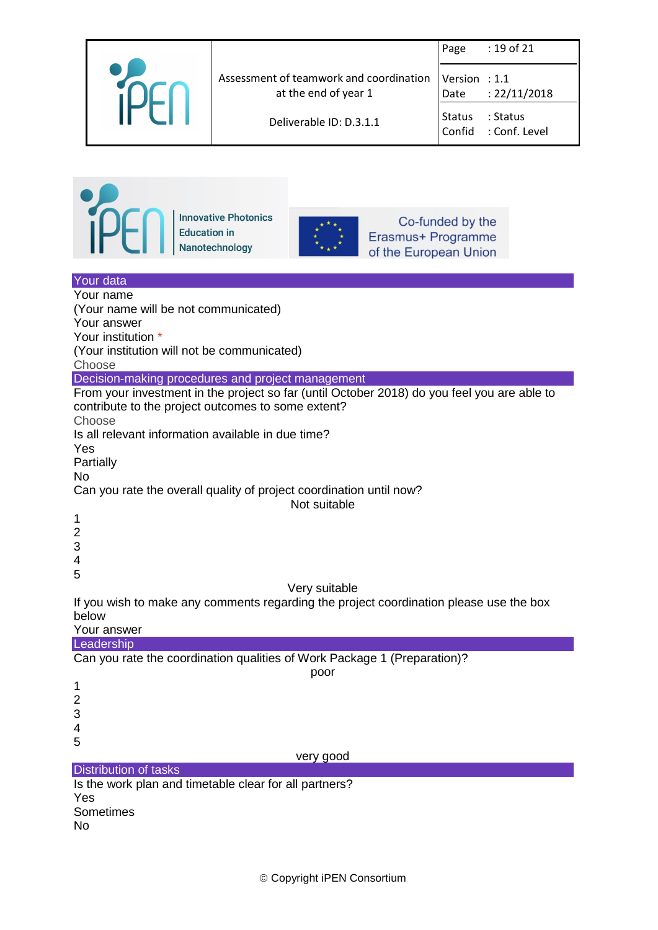|                                                                 | Page                    | : 19 of 21                |
|-----------------------------------------------------------------|-------------------------|---------------------------|
| Assessment of teamwork and coordination<br>at the end of year 1 | Version : 1.1<br>Date   | : 22/11/2018              |
| Deliverable ID: D.3.1.1                                         | <b>Status</b><br>Confid | : Status<br>: Conf. Level |

Co-funded by the

Erasmus+ Programme

of the European Union



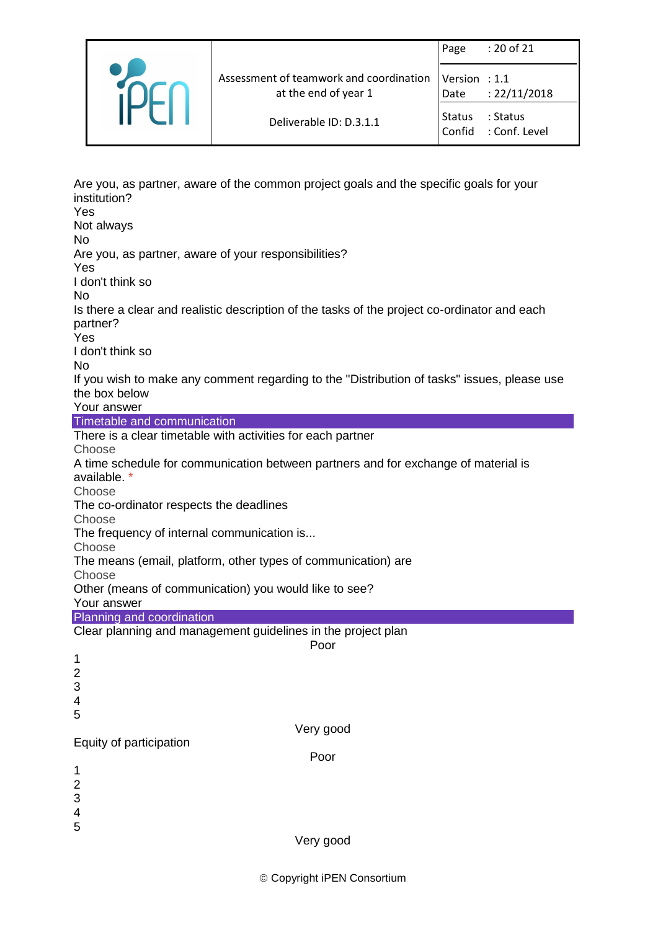|                                                                 | Page                    | : 20 of 21                |
|-----------------------------------------------------------------|-------------------------|---------------------------|
| Assessment of teamwork and coordination<br>at the end of year 1 | Version : $1.1$<br>Date | : 22/11/2018              |
| Deliverable ID: D.3.1.1                                         | Status<br>Confid        | : Status<br>: Conf. Level |

Are you, as partner, aware of the common project goals and the specific goals for your institution? Yes

Not always No Are you, as partner, aware of your responsibilities? Yes I don't think so No Is there a clear and realistic description of the tasks of the project co-ordinator and each partner? Yes I don't think so No If you wish to make any comment regarding to the "Distribution of tasks" issues, please use the box below Your answer Timetable and communication There is a clear timetable with activities for each partner **Choose** A time schedule for communication between partners and for exchange of material is available. \* **Choose** The co-ordinator respects the deadlines **Choose** The frequency of internal communication is... Choose The means (email, platform, other types of communication) are Choose Other (means of communication) you would like to see? Your answer Planning and coordination Clear planning and management guidelines in the project plan Poor 1 2 3 4 5 Very good Equity of participation Poor 1 2 3 4 5 Very good